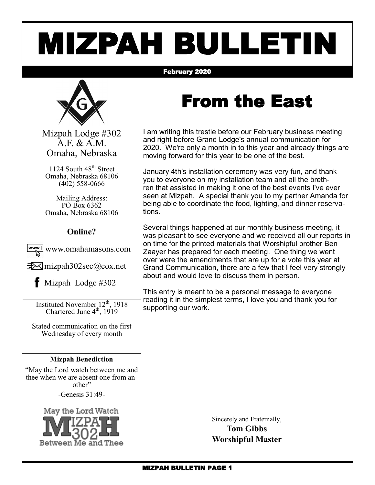# MIZPAH BULLETIN

#### February 2020



Mizpah Lodge #302 A.F. & A.M. Omaha, Nebraska

1124 South 48<sup>th</sup> Street Omaha, Nebraska 68106 (402) 558-0666

Mailing Address: PO Box 6362 Omaha, Nebraska 68106

#### **Online?**

www.omahamasons.com

 $\exists\forall$  mizpah302sec@cox.net

 $\bullet$  Mizpah Lodge #302

Instituted November 12<sup>th</sup>, 1918 Chartered June  $4<sup>th</sup>$ , 1919

Stated communication on the first Wednesday of every month

#### **Mizpah Benediction**

"May the Lord watch between me and thee when we are absent one from another"

-Genesis 31:49-



Sincerely and Fraternally, **Tom Gibbs Worshipful Master**

### From the East

I am writing this trestle before our February business meeting and right before Grand Lodge's annual communication for 2020. We're only a month in to this year and already things are moving forward for this year to be one of the best.

January 4th's installation ceremony was very fun, and thank you to everyone on my installation team and all the brethren that assisted in making it one of the best events I've ever seen at Mizpah. A special thank you to my partner Amanda for being able to coordinate the food, lighting, and dinner reservations.

Several things happened at our monthly business meeting, it was pleasant to see everyone and we received all our reports in on time for the printed materials that Worshipful brother Ben Zaayer has prepared for each meeting. One thing we went over were the amendments that are up for a vote this year at Grand Communication, there are a few that I feel very strongly about and would love to discuss them in person.

This entry is meant to be a personal message to everyone reading it in the simplest terms, I love you and thank you for supporting our work.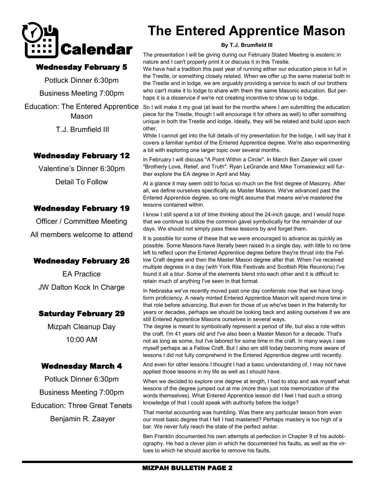

#### Wednesday February 5

Potluck Dinner 6:30pm Business Meeting 7:00pm Education: The Entered Apprentice

Mason

T.J. Brumfield III

#### Wednesday February 12

Valentine's Dinner 6:30pm Detail To Follow

#### Wednesday February 19

Officer / Committee Meeting All members welcome to attend

#### Wednesday February 26

EA Practice JW Dalton Kock In Charge

#### Saturday February 29

Mizpah Cleanup Day 10:00 AM

#### Wednesday March 4

Potluck Dinner 6:30pm Business Meeting 7:00pm Education: Three Great Tenets Benjamin R. Zaayer

### **The Entered Apprentice Mason**

#### **By T.J. Brumfield III**

The presentation I will be giving during our February Stated Meeting is esoteric in nature and I can't properly print it or discuss it in this Trestle.

We have had a tradition this past year of running either our education piece in full in the Trestle, or something closely related. When we offer up the same material both in the Trestle and in lodge, we are arguably providing a service to each of our brothers who can't make it to lodge to share with them the same Masonic education. But perhaps it is a disservice if we're not creating incentive to show up to lodge.

So I will make it my goal (at least for the months where I am submitting the education piece for the Trestle, though I will encourage it for others as well) to offer something unique in both the Trestle and lodge. Ideally, they will be related and build upon each other.

While I cannot get into the full details of my presentation for the lodge. I will say that it covers a familiar symbol of the Entered Apprentice degree. We're also experimenting a bit with exploring one larger topic over several months.

In February I will discuss "A Point Within a Circle". In March Ben Zaayer will cover "Brotherly Love, Relief, and Truth". Ryan LeGrande and Mike Tomasiewicz will further explore the EA degree in April and May.

At a glance it may seem odd to focus so much on the first degree of Masonry. After all, we define ourselves specifically as Master Masons. We've advanced past the Entered Apprentice degree, so one might assume that means we've mastered the lessons contained within.

I know I still spend a lot of time thinking about the 24-inch gauge, and I would hope that we continue to utilize the common gavel symbolically for the remainder of our days. We should not simply pass these lessons by and forget them.

It is possible for some of these that we were encouraged to advance as quickly as possible. Some Masons have literally been raised in a single day, with little to no time left to reflect upon the Entered Apprentice degree before they're thrust into the Fellow Craft degree and then the Master Mason degree after that. When I've received multiple degrees in a day (with York Rite Festivals and Scottish Rite Reunions) I've found it all a blur. Some of the elements blend into each other and it is difficult to retain much of anything I've seen in that format.

In Nebraska we've recently moved past one day conferrals now that we have longform proficiency. A newly minted Entered Apprentice Mason will spend more time in that role before advancing. But even for those of us who've been in the fraternity for years or decades, perhaps we should be looking back and asking ourselves if we are still Entered Apprentice Masons ourselves in several ways.

The degree is meant to symbolically represent a period of life, but also a role within the craft. I'm 41 years old and I've also been a Master Mason for a decade. That's not as long as some, but I've labored for some time in the craft. In many ways I see myself perhaps as a Fellow Craft. But I also am still today becoming more aware of lessons I did not fully comprehend in the Entered Apprentice degree until recently.

And even for other lessons I thought I had a basic understanding of, I may not have applied those lessons in my life as well as I should have.

When we decided to explore one degree at length, I had to stop and ask myself what lessons of the degree jumped out at me (more than just rote memorization of the words themselves). What Entered Apprentice lesson did I feel I had such a strong knowledge of that I could speak with authority before the lodge?

That mental accounting was humbling. Was there any particular lesson from even our most basic degree that I felt I had mastered? Perhaps mastery is too high of a bar. We never fully reach the state of the perfect ashlar.

Ben Franklin documented his own attempts at perfection in Chapter 9 of his autobiography. He had a clever plan in which he documented his faults, as well as the virtues to which he should ascribe to remove his faults.

#### MIZPAH BULLETIN PAGE 2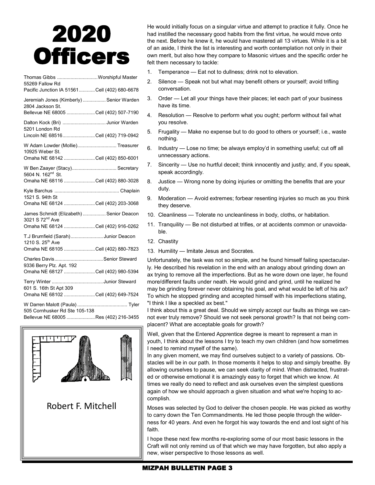## 2020 **Officers**

| Thomas Gibbs  Worshipful Master<br>55269 Fallow Rd                                       |  |
|------------------------------------------------------------------------------------------|--|
| Pacific Junction IA 51561Cell (402) 680-6678                                             |  |
| Jeremiah Jones (Kimberly)  Senior Warden<br>2804 Jackson St.                             |  |
| Bellevue NE 68005 Cell (402) 507-7190                                                    |  |
| Dalton Kock (Bri) Junior Warden<br>5201 London Rd<br>Lincoln NE 68516Cell (402) 719-0942 |  |
|                                                                                          |  |
| W Adam Lowder (Mollie) Treasurer<br>10925 Weber St.                                      |  |
| Omaha NE 68142 Cell (402) 850-6001                                                       |  |
| W Ben Zaayer (Stacy) Secretary<br>5604 N. 162 <sup>nd</sup> St.                          |  |
| Omaha NE 68116 Cell (402) 880-3028                                                       |  |
|                                                                                          |  |
| 1521 S. 94th St<br>Omaha NE 68124 Cell (402) 203-3068                                    |  |
| James Schmidt (Elizabeth)  Senior Deacon<br>3021 S 72 <sup>nd</sup> Ave                  |  |
| Omaha NE 68124 Cell (402) 916-0262                                                       |  |
| T.J Brumfield (Sarah)Junior Deacon<br>1210 S. 25 <sup>th</sup> Ave                       |  |
| Omaha NE 68105 Cell (402) 880-7823                                                       |  |
| Charles DavisSenior Steward<br>9336 Berry Plz. Apt. 192                                  |  |
| Omaha NE 68127 Cell (402) 980-5394                                                       |  |
| Terry Winter Junior Steward                                                              |  |
| 601 S. 16th St Apt 309<br>Omaha NE 68102 Cell (402) 649-7524                             |  |
| 505 Cornhusker Rd Ste 105-138                                                            |  |
| Bellevue NF 68005 Res (402) 216-3455                                                     |  |



He would initially focus on a singular virtue and attempt to practice it fully. Once he had instilled the necessary good habits from the first virtue, he would move onto the next. Before he knew it, he would have mastered all 13 virtues. While it is a bit of an aside, I think the list is interesting and worth contemplation not only in their own merit, but also how they compare to Masonic virtues and the specific order he felt them necessary to tackle:

- 1. Temperance Eat not to dullness; drink not to elevation.
- 2. Silence Speak not but what may benefit others or yourself; avoid trifling conversation.
- 3. Order Let all your things have their places; let each part of your business have its time.
- 4. Resolution Resolve to perform what you ought; perform without fail what you resolve.
- 5. Frugality Make no expense but to do good to others or yourself; i.e., waste nothing.
- 6. Industry Lose no time; be always employ'd in something useful; cut off all unnecessary actions.
- 7. Sincerity Use no hurtful deceit; think innocently and justly; and, if you speak, speak accordingly.
- 8. Justice Wrong none by doing injuries or omitting the benefits that are your duty.
- 9. Moderation Avoid extremes; forbear resenting injuries so much as you think they deserve.
- 10. Cleanliness Tolerate no uncleanliness in body, cloths, or habitation.
- 11. Tranquility Be not disturbed at trifles, or at accidents common or unavoidable.
- 12. Chastity
- 13. Humility Imitate Jesus and Socrates.

Unfortunately, the task was not so simple, and he found himself failing spectacularly. He described his revelation in the end with an analogy about grinding down an ax trying to remove all the imperfections. But as he wore down one layer, he found more/different faults under neath. He would grind and grind, until he realized he may be grinding forever never obtaining his goal, and what would be left of his ax? To which he stopped grinding and accepted himself with his imperfections stating, "I think I like a speckled ax best."

I think about this a great deal. Should we simply accept our faults as things we cannot ever truly remove? Should we not seek personal growth? Is that not being complacent? What are acceptable goals for growth?

Well, given that the Entered Apprentice degree is meant to represent a man in youth, I think about the lessons I try to teach my own children (and how sometimes I need to remind myself of the same).

In any given moment, we may find ourselves subject to a variety of passions. Obstacles will be in our path. In those moments it helps to stop and simply breathe. By allowing ourselves to pause, we can seek clarity of mind. When distracted, frustrated or otherwise emotional it is amazingly easy to forget that which we know. At times we really do need to reflect and ask ourselves even the simplest questions again of how we should approach a given situation and what we're hoping to accomplish.

Moses was selected by God to deliver the chosen people. He was picked as worthy to carry down the Ten Commandments. He led those people through the wilderness for 40 years. And even he forgot his way towards the end and lost sight of his faith.

I hope these next few months re-exploring some of our most basic lessons in the Craft will not only remind us of that which we may have forgotten, but also apply a new, wiser perspective to those lessons as well.

#### MIZPAH BULLETIN PAGE 3